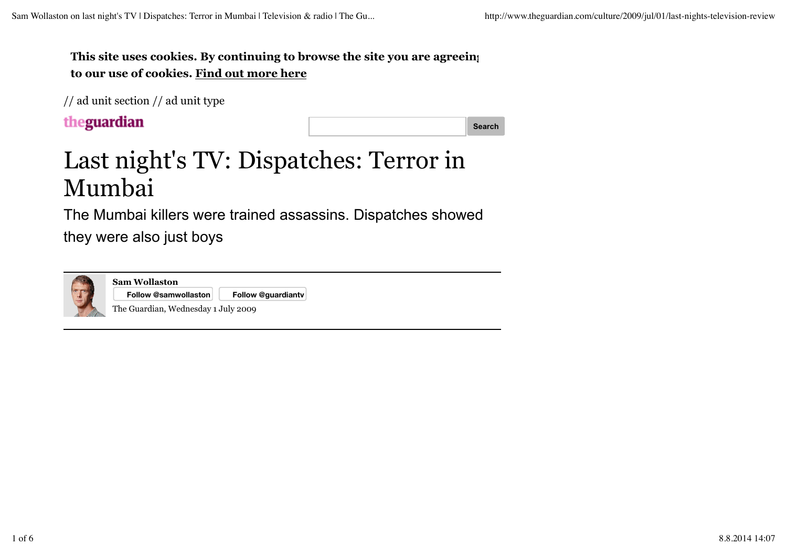## **This site uses cookies. By continuing to browse the site you are agreeing to our use of cookies. Find out more here**

// ad unit section // ad unit type

theguardian

**Search**

## Last night's TV: Dispatches: Terror in Mumbai

The Mumbai killers were trained assassins. Dispatches showed they were also just boys



**Sam Wollaston**

**Follow @samwollaston Follow @guardiantv**

The Guardian, Wednesday 1 July 2009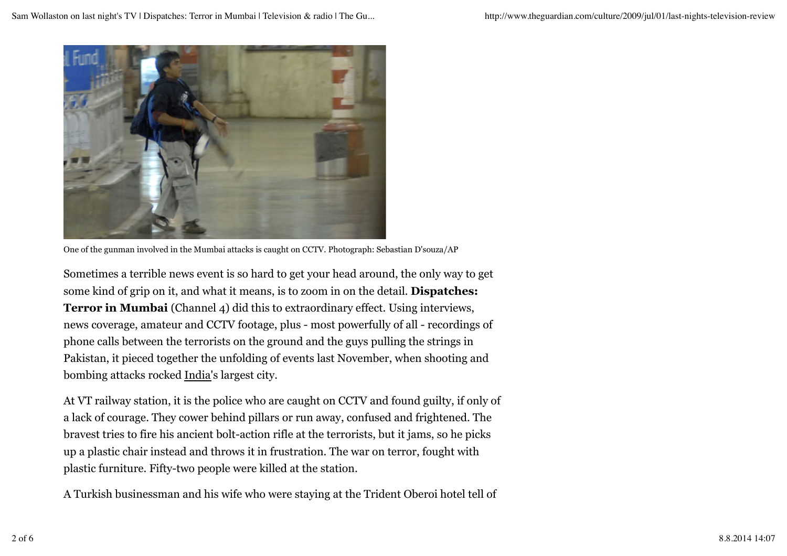Sam Wollaston on last night's TV | Dispatches: Terror in Mumbai | Television & radio | The Gu... http://www.theguardian.com/culture/2009/jul/01/last-nights-television-review



One of the gunman involved in the Mumbai attacks is caught on CCTV. Photograph: Sebastian D'souza/AP

Sometimes a terrible news event is so hard to get your head around, the only way to get some kind of grip on it, and what it means, is to zoom in on the detail. **Dispatches: Terror in Mumbai** (Channel 4) did this to extraordinary effect. Using interviews, news coverage, amateur and CCTV footage, plus - most powerfully of all - recordings of phone calls between the terrorists on the ground and the guys pulling the strings in Pakistan, it pieced together the unfolding of events last November, when shooting and bombing attacks rocked India's largest city.

At VT railway station, it is the police who are caught on CCTV and found guilty, if only of a lack of courage. They cower behind pillars or run away, confused and frightened. The bravest tries to fire his ancient bolt-action rifle at the terrorists, but it jams, so he picks up a plastic chair instead and throws it in frustration. The war on terror, fought with plastic furniture. Fifty-two people were killed at the station.

A Turkish businessman and his wife who were staying at the Trident Oberoi hotel tell of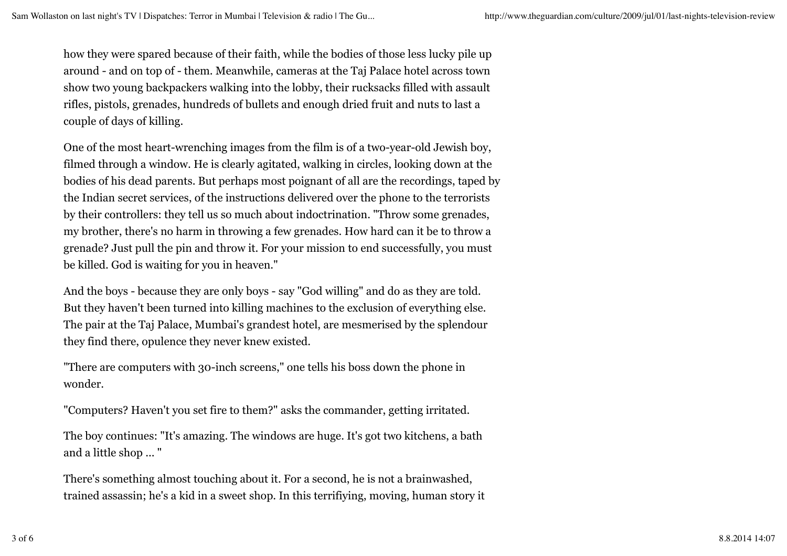how they were spared because of their faith, while the bodies of those less lucky pile up around - and on top of - them. Meanwhile, cameras at the Taj Palace hotel across town show two young backpackers walking into the lobby, their rucksacks filled with assault rifles, pistols, grenades, hundreds of bullets and enough dried fruit and nuts to last a couple of days of killing.

One of the most heart-wrenching images from the film is of a two-year-old Jewish boy, filmed through a window. He is clearly agitated, walking in circles, looking down at the bodies of his dead parents. But perhaps most poignant of all are the recordings, taped by the Indian secret services, of the instructions delivered over the phone to the terrorists by their controllers: they tell us so much about indoctrination. "Throw some grenades, my brother, there's no harm in throwing a few grenades. How hard can it be to throw a grenade? Just pull the pin and throw it. For your mission to end successfully, you must be killed. God is waiting for you in heaven."

And the boys - because they are only boys - say "God willing" and do as they are told. But they haven't been turned into killing machines to the exclusion of everything else. The pair at the Taj Palace, Mumbai's grandest hotel, are mesmerised by the splendour they find there, opulence they never knew existed.

"There are computers with 30-inch screens," one tells his boss down the phone in wonder.

"Computers? Haven't you set fire to them?" asks the commander, getting irritated.

The boy continues: "It's amazing. The windows are huge. It's got two kitchens, a bath and a little shop ... "

There's something almost touching about it. For a second, he is not a brainwashed, trained assassin; he's a kid in a sweet shop. In this terrifiying, moving, human story it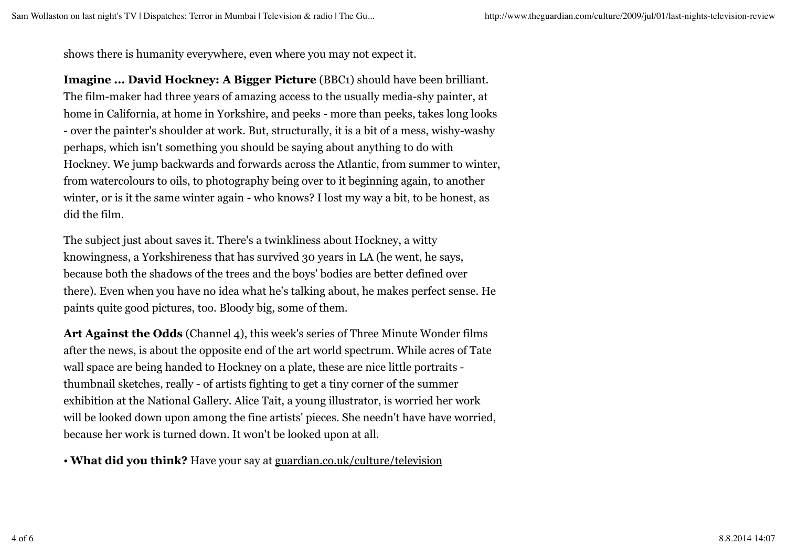shows there is humanity everywhere, even where you may not expect it.

**Imagine ... David Hockney: A Bigger Picture** *(BBC1)* should have been brilliant. The film-maker had three years of amazing access to the usually media-shy painter, at home in California, at home in Yorkshire, and peeks - more than peeks, takes long looks - over the painter's shoulder at work. But, structurally, it is a bit of a mess, wishy-washy perhaps, which isn't something you should be saying about anything to do with Hockney. We jump backwards and forwards across the Atlantic, from summer to winter, from watercolours to oils, to photography being over to it beginning again, to another winter, or is it the same winter again - who knows? I lost my way a bit, to be honest, as did the film.

The subject just about saves it. There's a twinkliness about Hockney, a witty knowingness, a Yorkshireness that has survived 30 years in LA (he went, he says, because both the shadows of the trees and the boys' bodies are better defined over there). Even when you have no idea what he's talking about, he makes perfect sense. He paints quite good pictures, too. Bloody big, some of them.

**Art Against the Odds** (Channel 4), this week's series of Three Minute Wonder films after the news, is about the opposite end of the art world spectrum. While acres of Tate wall space are being handed to Hockney on a plate, these are nice little portraits thumbnail sketches, really - of artists fighting to get a tiny corner of the summer exhibition at the National Gallery. Alice Tait, a young illustrator, is worried her work will be looked down upon among the fine artists' pieces. She needn't have have worried, because her work is turned down. It won't be looked upon at all.

• **What did you think?** Have your say at guardian.co.uk/culture/television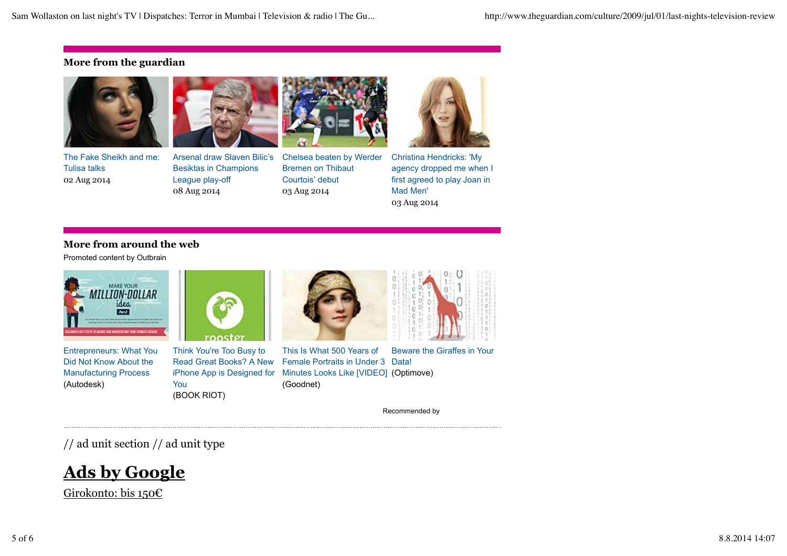## **More from the guardian**



The Fake Sheikh and me: Tulisa talks 02 Aug 2014



Arsenal draw Slaven Bilic's Besiktas in Champions League play-off 08 Aug 2014



Chelsea beaten by Werder Bremen on Thibaut Courtois' debut 03 Aug 2014



Christina Hendricks: 'My agency dropped me when I first agreed to play Joan in Mad Men' 03 Aug 2014

## **More from around the web**

MAKE YOUR **MILLION-DOLLAR** idea Past 2 NET CATELLES IN SAMO

Promoted content by Outbrain

Entrepreneurs: What You Did Not Know About the Manufacturing Process (Autodesk)



Think You're Too Busy to Read Great Books? A New iPhone App is Designed for You (BOOK RIOT)



This Is What 500 Years of Female Portraits in Under 3 Data! Minutes Looks Like [VIDEO] (Optimove) (Goodnet)



Beware the Giraffes in Your

Recommended by

// ad unit section // ad unit type



Girokonto: bis 150€